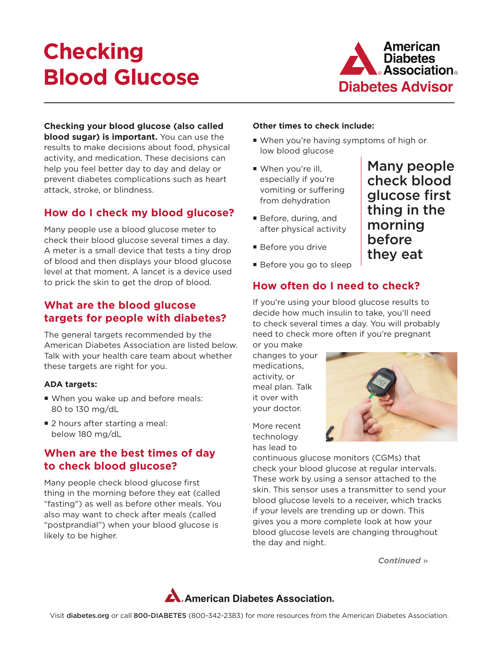# **Checking Blood Glucose**



**Checking your blood glucose (also called blood sugar) is important.** You can use the results to make decisions about food, physical activity, and medication. These decisions can help you feel better day to day and delay or prevent diabetes complications such as heart attack, stroke, or blindness.

## **How do I check my blood glucose?**

Many people use a blood glucose meter to check their blood glucose several times a day. A meter is a small device that tests a tiny drop of blood and then displays your blood glucose level at that moment. A lancet is a device used to prick the skin to get the drop of blood.

#### **What are the blood glucose targets for people with diabetes?**

The general targets recommended by the American Diabetes Association are listed below. Talk with your health care team about whether these targets are right for you.

#### **ADA targets:**

- When you wake up and before meals: 80 to 130 mg/dL
- 2 hours after starting a meal: below 180 mg/dL

### **When are the best times of day to check blood glucose?**

Many people check blood glucose first thing in the morning before they eat (called "fasting") as well as before other meals. You also may want to check after meals (called "postprandial") when your blood glucose is likely to be higher.

#### **Other times to check include:**

- When you're having symptoms of high or low blood glucose
- When you're ill, especially if you're vomiting or suffering from dehydration
- Before, during, and after physical activity
- **Before you drive**
- Before you go to sleep

## **How often do I need to check?**

If you're using your blood glucose results to decide how much insulin to take, you'll need to check several times a day. You will probably need to check more often if you're pregnant

or you make changes to your medications, activity, or meal plan. Talk it over with your doctor.

More recent technology has lead to



continuous glucose monitors (CGMs) that check your blood glucose at regular intervals. These work by using a sensor attached to the skin. This sensor uses a transmitter to send your blood glucose levels to a receiver, which tracks if your levels are trending up or down. This gives you a more complete look at how your blood glucose levels are changing throughout the day and night.

*Continued* »



Many people check blood glucose first thing in the morning before they eat